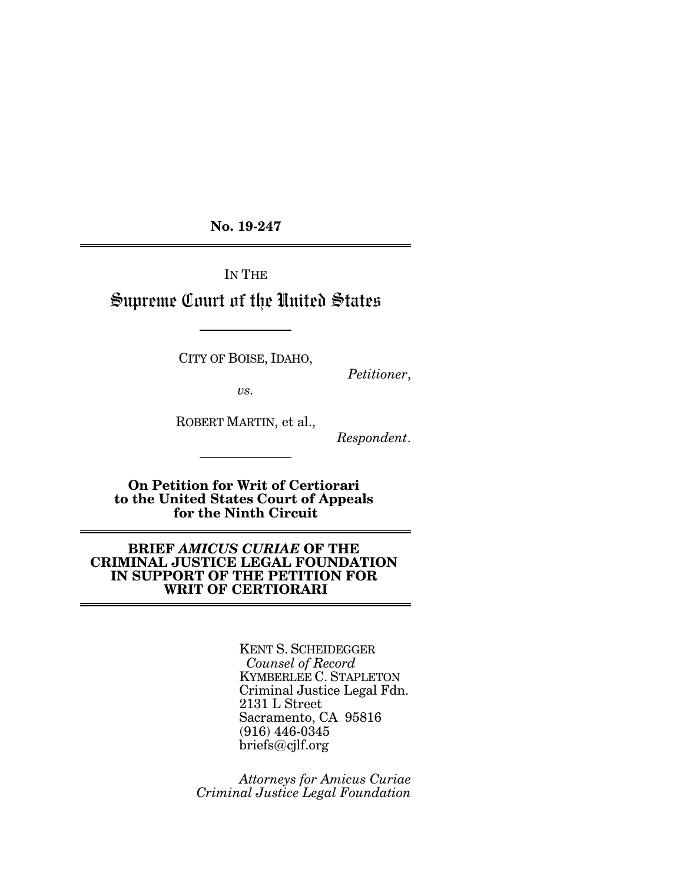**No. 19-247**

IN THE

# Supreme Court of the United States

CITY OF BOISE, IDAHO,

*Petitioner*,

*vs.*

ROBERT MARTIN, et al.,

*Respondent*.

**On Petition for Writ of Certiorari to the United States Court of Appeals for the Ninth Circuit**

## **BRIEF** *AMICUS CURIAE* **OF THE CRIMINAL JUSTICE LEGAL FOUNDATION IN SUPPORT OF THE PETITION FOR WRIT OF CERTIORARI**

KENT S. SCHEIDEGGER *Counsel of Record* KYMBERLEE C. STAPLETON Criminal Justice Legal Fdn. 2131 L Street Sacramento, CA 95816 (916) 446-0345 briefs@cjlf.org

*Attorneys for Amicus Curiae Criminal Justice Legal Foundation*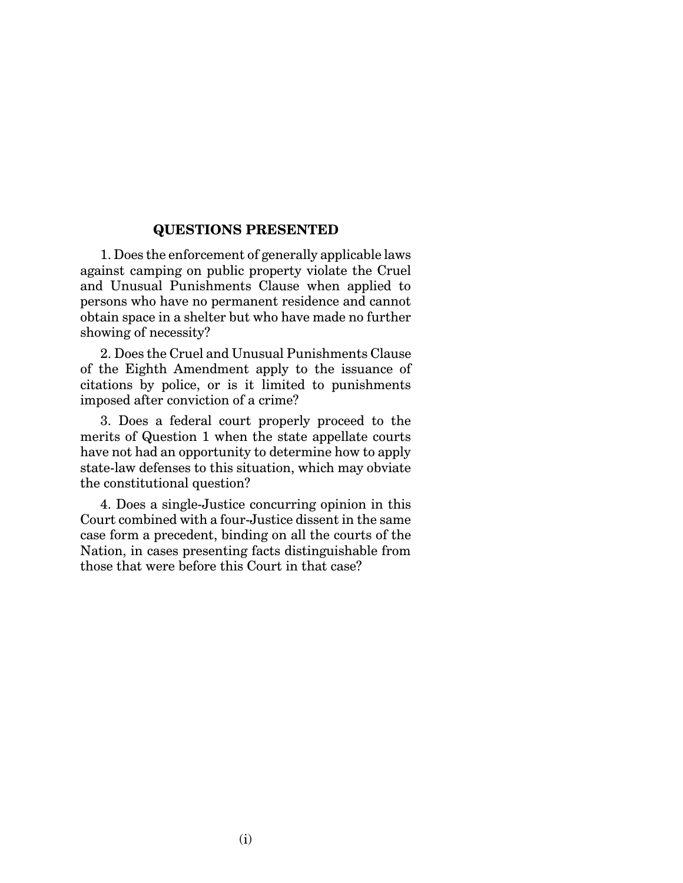## **QUESTIONS PRESENTED**

1. Does the enforcement of generally applicable laws against camping on public property violate the Cruel and Unusual Punishments Clause when applied to persons who have no permanent residence and cannot obtain space in a shelter but who have made no further showing of necessity?

2. Does the Cruel and Unusual Punishments Clause of the Eighth Amendment apply to the issuance of citations by police, or is it limited to punishments imposed after conviction of a crime?

3. Does a federal court properly proceed to the merits of Question 1 when the state appellate courts have not had an opportunity to determine how to apply state-law defenses to this situation, which may obviate the constitutional question?

4. Does a single-Justice concurring opinion in this Court combined with a four-Justice dissent in the same case form a precedent, binding on all the courts of the Nation, in cases presenting facts distinguishable from those that were before this Court in that case?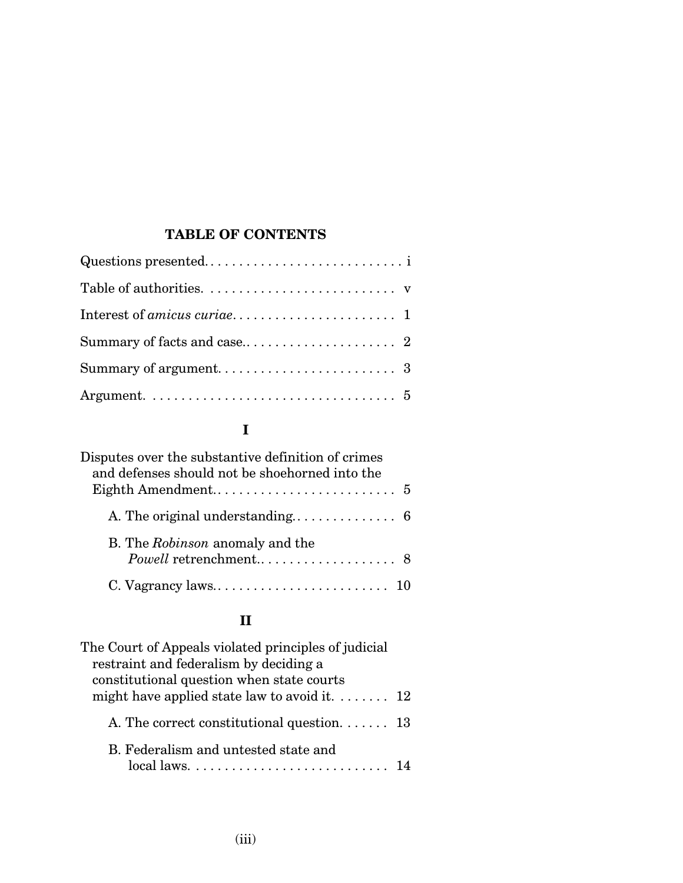# **TABLE OF CONTENTS**

# **I**

| Disputes over the substantive definition of crimes |  |
|----------------------------------------------------|--|
| and defenses should not be shoehorned into the     |  |
|                                                    |  |
| B. The Robinson anomaly and the                    |  |
|                                                    |  |
|                                                    |  |

# **II**

| The Court of Appeals violated principles of judicial<br>restraint and federalism by deciding a<br>constitutional question when state courts |  |
|---------------------------------------------------------------------------------------------------------------------------------------------|--|
| might have applied state law to avoid it. $\dots \dots$ 12                                                                                  |  |
| A. The correct constitutional question. $\dots \dots$ 13                                                                                    |  |
| B. Federalism and untested state and                                                                                                        |  |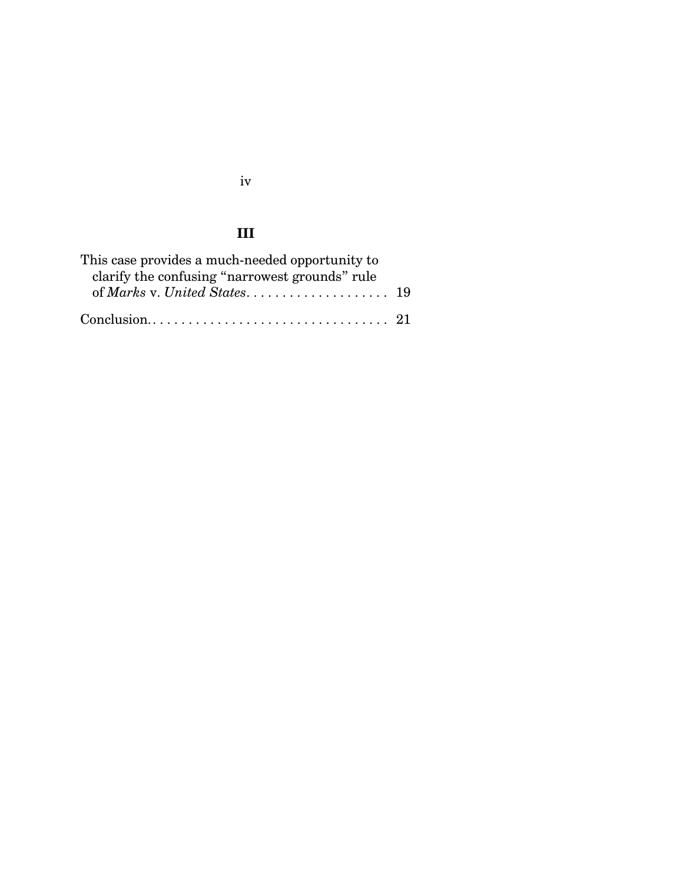# **III**

| This case provides a much-needed opportunity to |  |
|-------------------------------------------------|--|
| clarify the confusing "narrowest grounds" rule  |  |
|                                                 |  |
|                                                 |  |

iv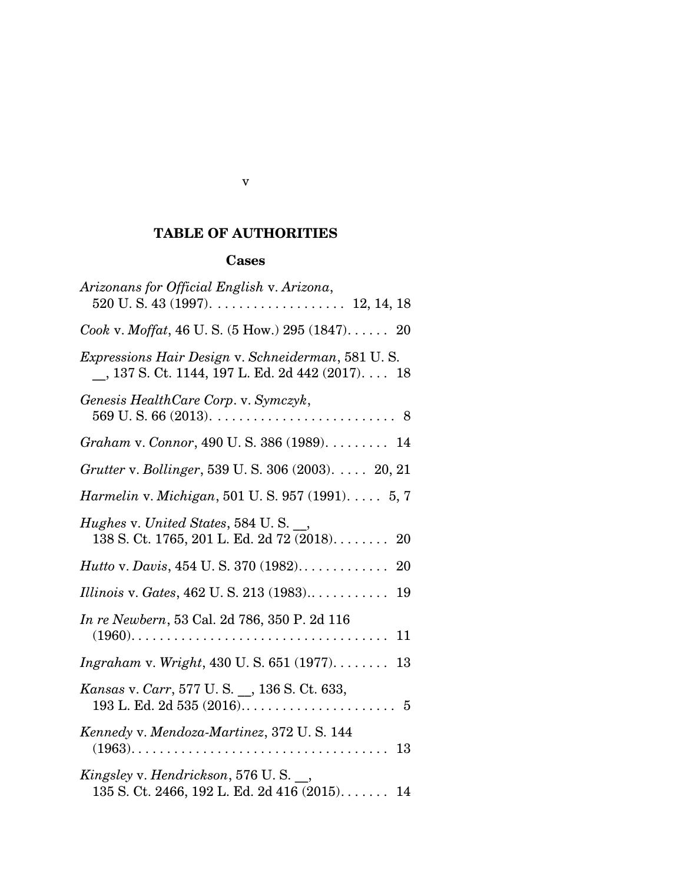# **TABLE OF AUTHORITIES**

# **Cases**

| Arizonans for Official English v. Arizona,<br>$520$ U.S. 43 (1997). 12, 14, 18                          |
|---------------------------------------------------------------------------------------------------------|
|                                                                                                         |
| Cook v. Moffat, 46 U.S. $(5 \text{ How.}) 295 (1847) \dots 20$                                          |
| Expressions Hair Design v. Schneiderman, 581 U.S.<br>$\_, 137$ S. Ct. 1144, 197 L. Ed. 2d 442 (2017) 18 |
| Genesis HealthCare Corp. v. Symczyk,                                                                    |
| Graham v. Connor, 490 U.S. 386 (1989). 14                                                               |
| <i>Grutter v. Bollinger</i> , 539 U. S. 306 (2003). 20, 21                                              |
| <i>Harmelin v. Michigan,</i> 501 U.S. 957 (1991). $\dots$ 5, 7                                          |
| Hughes v. United States, 584 U.S. __,<br>$138$ S. Ct. 1765, 201 L. Ed. 2d 72 (2018)<br>20               |
| <i>Hutto v. Davis, 454 U.S. 370 (1982).</i> $\dots \dots \dots$<br>20                                   |
| <i>Illinois v. Gates, 462 U. S. 213 (1983)</i><br>19                                                    |
| In re Newbern, 53 Cal. 2d 786, 350 P. 2d 116<br>11                                                      |
| $Ingraham$ v. Wright, 430 U.S. 651 (1977)<br>13                                                         |
| Kansas v. Carr, 577 U.S. _, 136 S. Ct. 633,                                                             |
| Kennedy v. Mendoza-Martinez, 372 U.S. 144<br>-13                                                        |
| Kingsley v. Hendrickson, 576 U.S. $\_\_$<br>135 S. Ct. 2466, 192 L. Ed. 2d 416 (2015) 14                |

v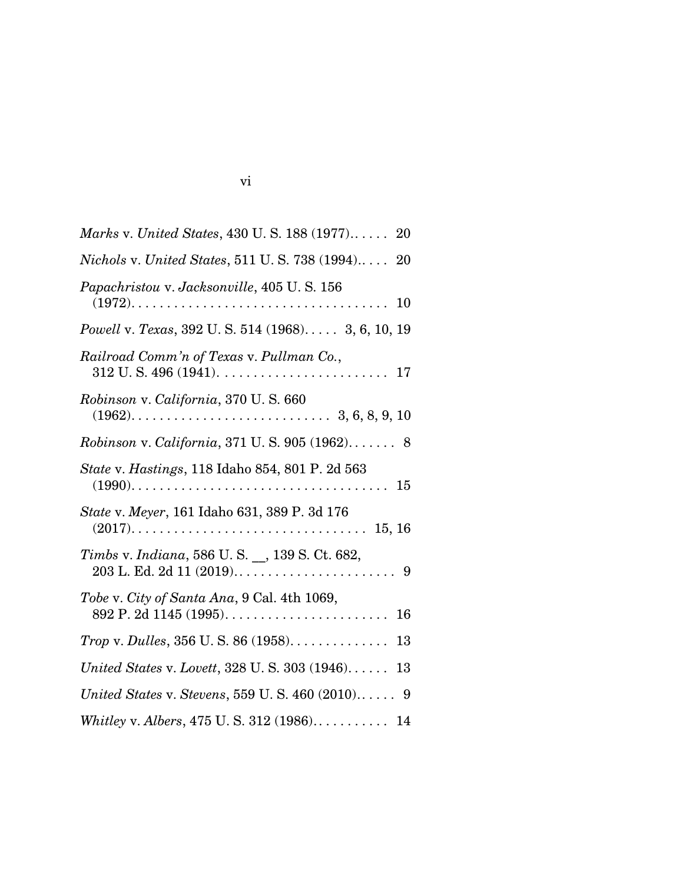| Marks v. United States, 430 U.S. 188 (1977) 20               |
|--------------------------------------------------------------|
| <i>Nichols v. United States, 511 U.S. 738 (1994)</i> 20      |
| Papachristou v. Jacksonville, 405 U.S. 156<br>10             |
| Powell v. Texas, 392 U.S. 514 (1968) 3, 6, 10, 19            |
| Railroad Comm'n of Texas v. Pullman Co.,                     |
| Robinson v. California, 370 U.S. 660                         |
| Robinson v. California, 371 U.S. 905 (1962) 8                |
| State v. Hastings, 118 Idaho 854, 801 P. 2d 563              |
| State v. Meyer, 161 Idaho 631, 389 P. 3d 176                 |
| Timbs v. Indiana, 586 U.S. _, 139 S.Ct. 682,                 |
| Tobe v. City of Santa Ana, 9 Cal. 4th 1069,<br>16            |
| <i>Trop</i> v. <i>Dulles</i> , $356$ U. S. $86$ (1958)<br>13 |
| United States v. Lovett, $328$ U.S. $303$ $(1946)$<br>13     |
| United States v. Stevens, 559 U.S. 460 (2010) 9              |
| Whitley v. Albers, 475 U.S. 312 (1986) 14                    |

| I |
|---|
|   |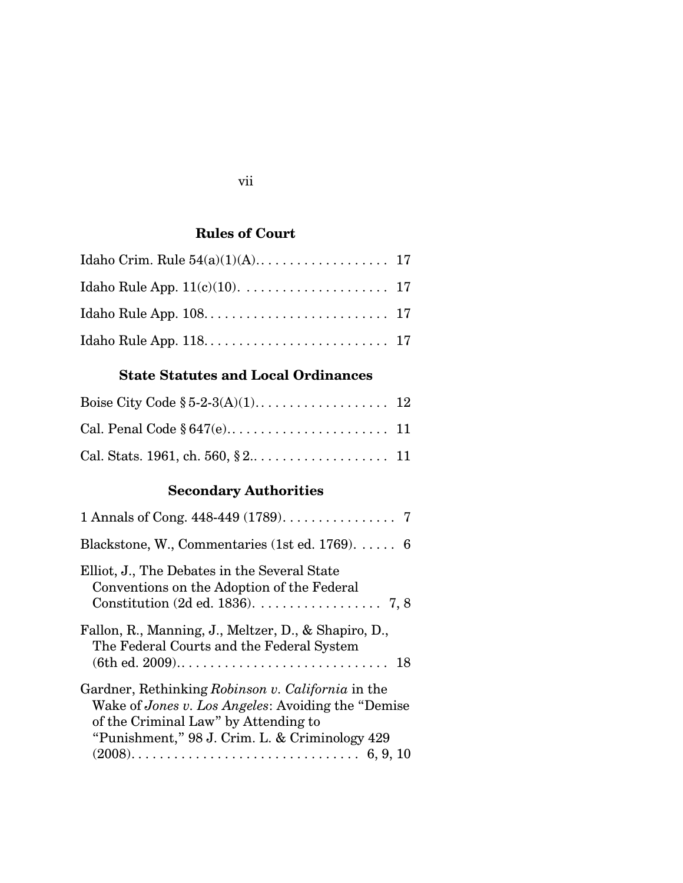# **Rules of Court**

# **State Statutes and Local Ordinances**

# **Secondary Authorities**

| 1 Annals of Cong. 448-449 (1789). 7                                                                                                                                                                |
|----------------------------------------------------------------------------------------------------------------------------------------------------------------------------------------------------|
| Blackstone, W., Commentaries (1st ed. 1769). $\dots$ 6                                                                                                                                             |
| Elliot, J., The Debates in the Several State<br>Conventions on the Adoption of the Federal<br>Constitution (2d ed. 1836). $\dots$ . 7, 8                                                           |
| Fallon, R., Manning, J., Meltzer, D., & Shapiro, D.,<br>The Federal Courts and the Federal System                                                                                                  |
| Gardner, Rethinking Robinson v. California in the<br>Wake of Jones v. Los Angeles: Avoiding the "Demise"<br>of the Criminal Law" by Attending to<br>"Punishment," 98 J. Crim. L. & Criminology 429 |

## vii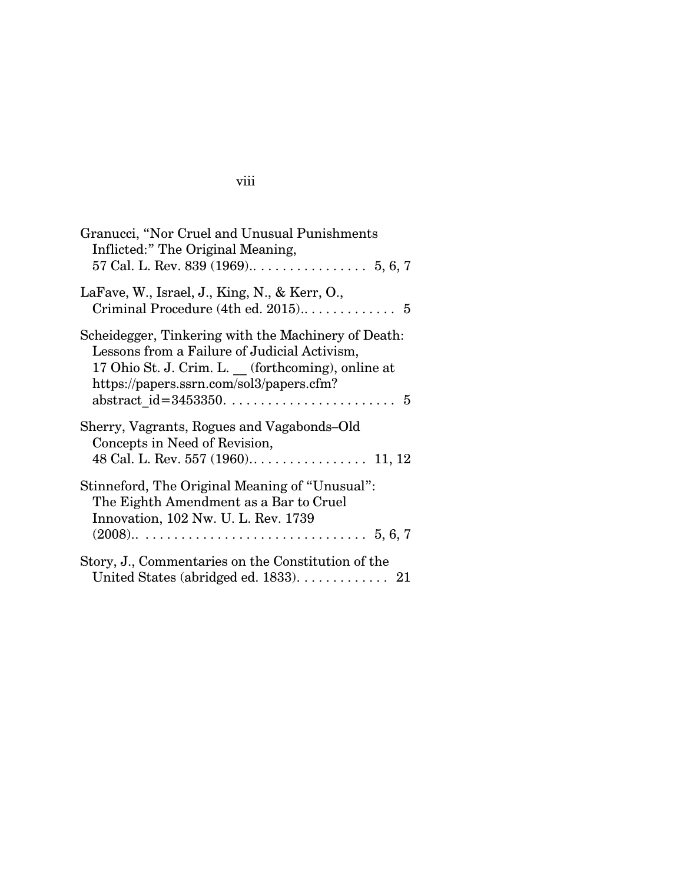# viii

| Granucci, "Nor Cruel and Unusual Punishments<br>Inflicted:" The Original Meaning,                                                                                                                   |
|-----------------------------------------------------------------------------------------------------------------------------------------------------------------------------------------------------|
| LaFave, W., Israel, J., King, N., & Kerr, O.,                                                                                                                                                       |
| Scheidegger, Tinkering with the Machinery of Death:<br>Lessons from a Failure of Judicial Activism,<br>17 Ohio St. J. Crim. L. (forthcoming), online at<br>https://papers.ssrn.com/sol3/papers.cfm? |
| Sherry, Vagrants, Rogues and Vagabonds–Old<br>Concepts in Need of Revision,                                                                                                                         |
| Stinneford, The Original Meaning of "Unusual":<br>The Eighth Amendment as a Bar to Cruel<br>Innovation, 102 Nw. U. L. Rev. 1739                                                                     |
| Story, J., Commentaries on the Constitution of the<br>United States (abridged ed. $1833$ ). $\dots$ . 21                                                                                            |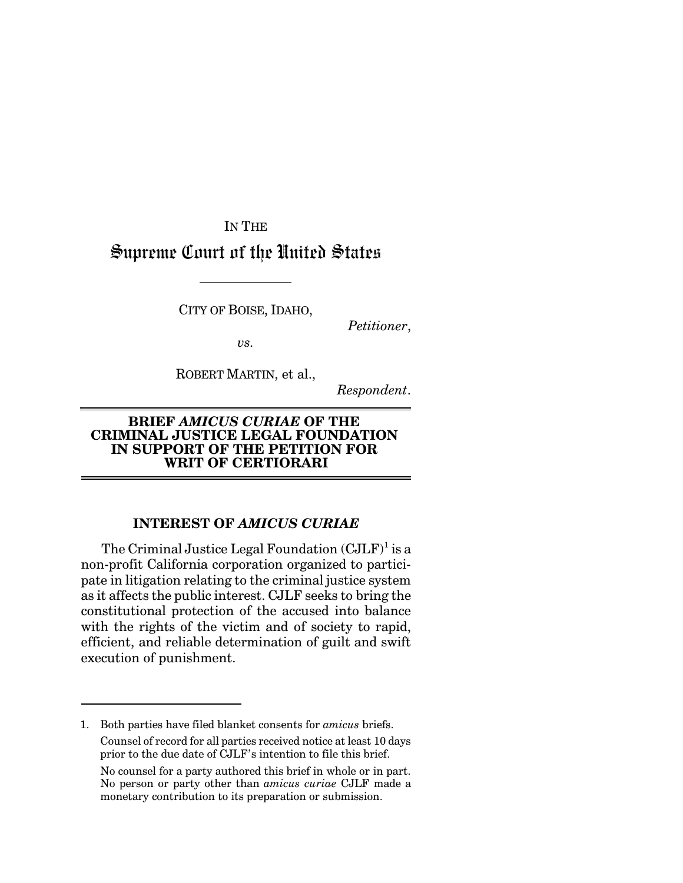IN THE Supreme Court of the United States

CITY OF BOISE, IDAHO,

*Petitioner*,

*vs.*

ROBERT MARTIN, et al.,

*Respondent*.

### **BRIEF** *AMICUS CURIAE* **OF THE CRIMINAL JUSTICE LEGAL FOUNDATION IN SUPPORT OF THE PETITION FOR WRIT OF CERTIORARI**

## **INTEREST OF** *AMICUS CURIAE*

The Criminal Justice Legal Foundation  $(CJLF)^1$  is a non-profit California corporation organized to participate in litigation relating to the criminal justice system as it affects the public interest. CJLF seeks to bring the constitutional protection of the accused into balance with the rights of the victim and of society to rapid, efficient, and reliable determination of guilt and swift execution of punishment.

<sup>1.</sup> Both parties have filed blanket consents for *amicus* briefs. Counsel of record for all parties received notice at least 10 days prior to the due date of CJLF's intention to file this brief.

No counsel for a party authored this brief in whole or in part. No person or party other than *amicus curiae* CJLF made a monetary contribution to its preparation or submission.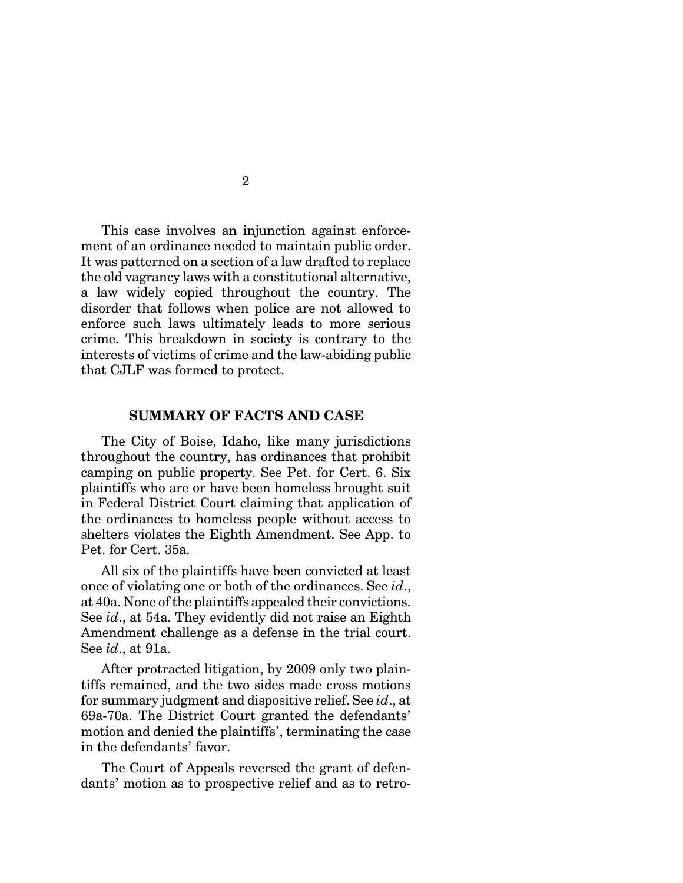This case involves an injunction against enforcement of an ordinance needed to maintain public order. It was patterned on a section of a law drafted to replace the old vagrancy laws with a constitutional alternative, a law widely copied throughout the country. The disorder that follows when police are not allowed to enforce such laws ultimately leads to more serious crime. This breakdown in society is contrary to the interests of victims of crime and the law-abiding public that CJLF was formed to protect.

#### **SUMMARY OF FACTS AND CASE**

The City of Boise, Idaho, like many jurisdictions throughout the country, has ordinances that prohibit camping on public property. See Pet. for Cert. 6. Six plaintiffs who are or have been homeless brought suit in Federal District Court claiming that application of the ordinances to homeless people without access to shelters violates the Eighth Amendment. See App. to Pet. for Cert. 35a.

All six of the plaintiffs have been convicted at least once of violating one or both of the ordinances. See *id*., at 40a. None of the plaintiffs appealed their convictions. See *id*., at 54a. They evidently did not raise an Eighth Amendment challenge as a defense in the trial court. See *id*., at 91a.

After protracted litigation, by 2009 only two plaintiffs remained, and the two sides made cross motions for summary judgment and dispositive relief. See *id*., at 69a-70a. The District Court granted the defendants' motion and denied the plaintiffs', terminating the case in the defendants' favor.

The Court of Appeals reversed the grant of defendants' motion as to prospective relief and as to retro-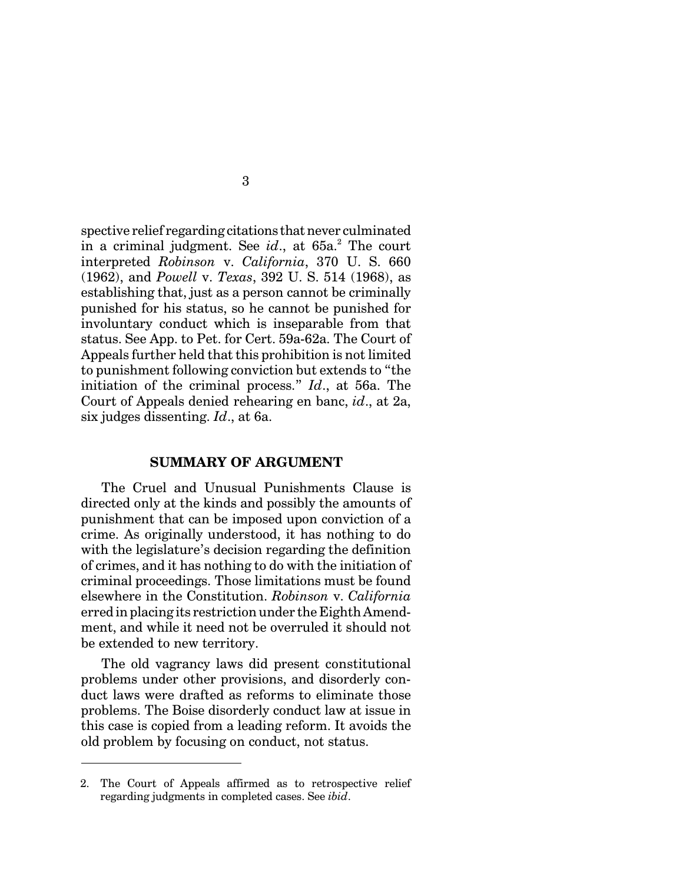spective relief regarding citations that never culminated in a criminal judgment. See *id.*, at 65a.<sup>2</sup> The court interpreted *Robinson* v. *California*, 370 U. S. 660 (1962), and *Powell* v. *Texas*, 392 U. S. 514 (1968), as establishing that, just as a person cannot be criminally punished for his status, so he cannot be punished for involuntary conduct which is inseparable from that status. See App. to Pet. for Cert. 59a-62a. The Court of Appeals further held that this prohibition is not limited to punishment following conviction but extends to "the initiation of the criminal process." *Id*., at 56a. The Court of Appeals denied rehearing en banc, *id*., at 2a, six judges dissenting. *Id*., at 6a.

#### **SUMMARY OF ARGUMENT**

The Cruel and Unusual Punishments Clause is directed only at the kinds and possibly the amounts of punishment that can be imposed upon conviction of a crime. As originally understood, it has nothing to do with the legislature's decision regarding the definition of crimes, and it has nothing to do with the initiation of criminal proceedings. Those limitations must be found elsewhere in the Constitution. *Robinson* v. *California* erred in placing its restriction under the Eighth Amendment, and while it need not be overruled it should not be extended to new territory.

The old vagrancy laws did present constitutional problems under other provisions, and disorderly conduct laws were drafted as reforms to eliminate those problems. The Boise disorderly conduct law at issue in this case is copied from a leading reform. It avoids the old problem by focusing on conduct, not status.

<sup>2.</sup> The Court of Appeals affirmed as to retrospective relief regarding judgments in completed cases. See *ibid*.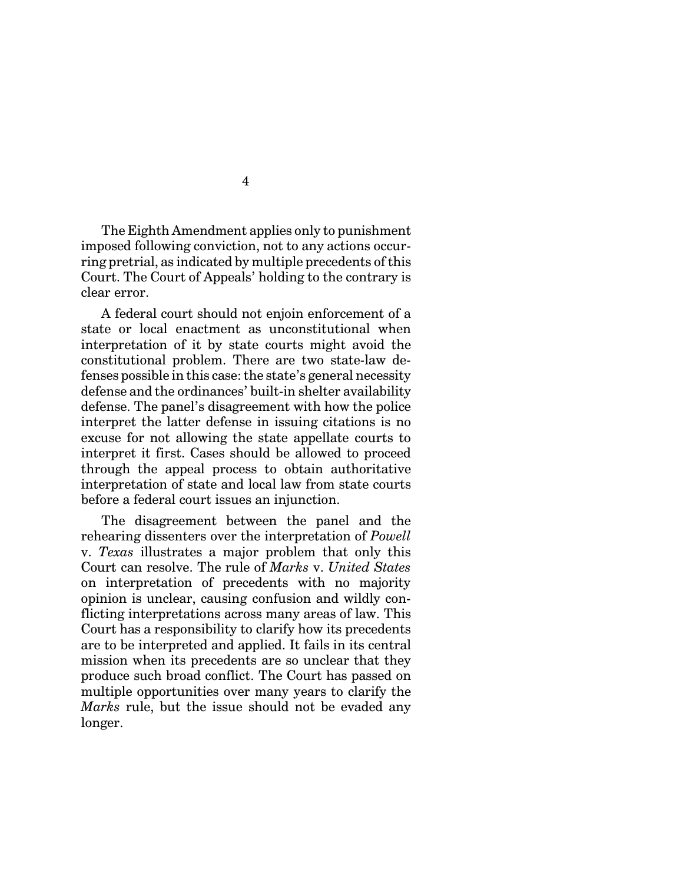The Eighth Amendment applies only to punishment imposed following conviction, not to any actions occurring pretrial, as indicated by multiple precedents of this Court. The Court of Appeals' holding to the contrary is clear error.

A federal court should not enjoin enforcement of a state or local enactment as unconstitutional when interpretation of it by state courts might avoid the constitutional problem. There are two state-law defenses possible in this case: the state's general necessity defense and the ordinances' built-in shelter availability defense. The panel's disagreement with how the police interpret the latter defense in issuing citations is no excuse for not allowing the state appellate courts to interpret it first. Cases should be allowed to proceed through the appeal process to obtain authoritative interpretation of state and local law from state courts before a federal court issues an injunction.

The disagreement between the panel and the rehearing dissenters over the interpretation of *Powell* v. *Texas* illustrates a major problem that only this Court can resolve. The rule of *Marks* v. *United States* on interpretation of precedents with no majority opinion is unclear, causing confusion and wildly conflicting interpretations across many areas of law. This Court has a responsibility to clarify how its precedents are to be interpreted and applied. It fails in its central mission when its precedents are so unclear that they produce such broad conflict. The Court has passed on multiple opportunities over many years to clarify the *Marks* rule, but the issue should not be evaded any longer.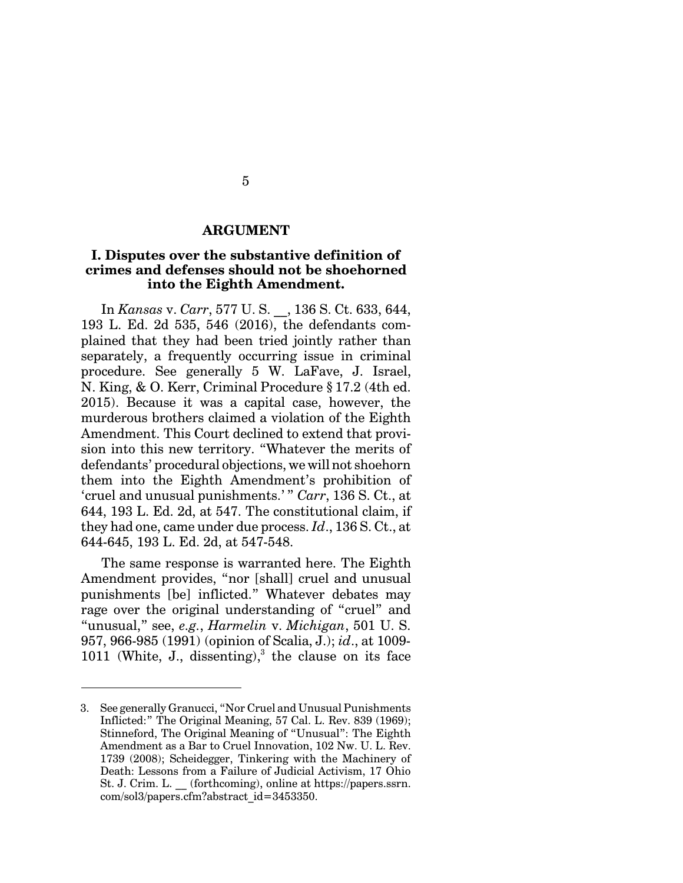#### **ARGUMENT**

## **I. Disputes over the substantive definition of crimes and defenses should not be shoehorned into the Eighth Amendment.**

In *Kansas* v. *Carr*, 577 U. S. \_\_, 136 S. Ct. 633, 644, 193 L. Ed. 2d 535, 546 (2016), the defendants complained that they had been tried jointly rather than separately, a frequently occurring issue in criminal procedure. See generally 5 W. LaFave, J. Israel, N. King, & O. Kerr, Criminal Procedure § 17.2 (4th ed. 2015). Because it was a capital case, however, the murderous brothers claimed a violation of the Eighth Amendment. This Court declined to extend that provision into this new territory. "Whatever the merits of defendants' procedural objections, we will not shoehorn them into the Eighth Amendment's prohibition of 'cruel and unusual punishments.' " *Carr*, 136 S. Ct., at 644, 193 L. Ed. 2d, at 547. The constitutional claim, if they had one, came under due process. *Id*., 136 S. Ct., at 644-645, 193 L. Ed. 2d, at 547-548.

The same response is warranted here. The Eighth Amendment provides, "nor [shall] cruel and unusual punishments [be] inflicted." Whatever debates may rage over the original understanding of "cruel" and "unusual," see, *e.g.*, *Harmelin* v. *Michigan*, 501 U. S. 957, 966-985 (1991) (opinion of Scalia, J.); *id*., at 1009-  $1011$  (White, J., dissenting),<sup>3</sup> the clause on its face

<sup>3.</sup> See generally Granucci, "Nor Cruel and Unusual Punishments Inflicted:" The Original Meaning, 57 Cal. L. Rev. 839 (1969); Stinneford, The Original Meaning of "Unusual": The Eighth Amendment as a Bar to Cruel Innovation, 102 Nw. U. L. Rev. 1739 (2008); Scheidegger, Tinkering with the Machinery of Death: Lessons from a Failure of Judicial Activism, 17 Ohio St. J. Crim. L. \_\_ (forthcoming), online at https://papers.ssrn. com/sol3/papers.cfm?abstract\_id=3453350.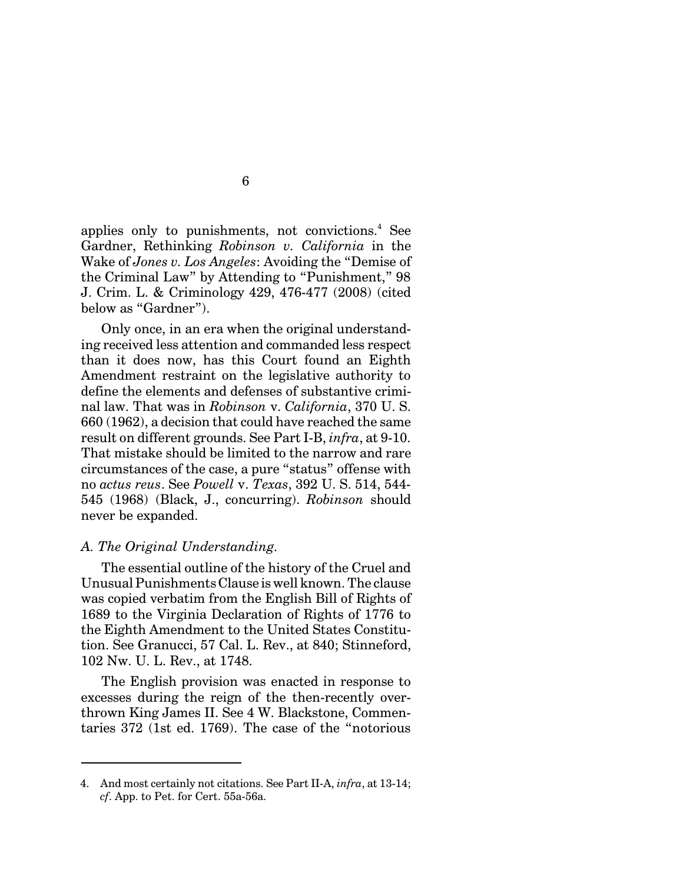applies only to punishments, not convictions.<sup>4</sup> See Gardner, Rethinking *Robinson v. California* in the Wake of *Jones v. Los Angeles*: Avoiding the "Demise of the Criminal Law" by Attending to "Punishment," 98 J. Crim. L. & Criminology 429, 476-477 (2008) (cited below as "Gardner").

Only once, in an era when the original understanding received less attention and commanded less respect than it does now, has this Court found an Eighth Amendment restraint on the legislative authority to define the elements and defenses of substantive criminal law. That was in *Robinson* v. *California*, 370 U. S. 660 (1962), a decision that could have reached the same result on different grounds. See Part I-B, *infra*, at 9-10. That mistake should be limited to the narrow and rare circumstances of the case, a pure "status" offense with no *actus reus*. See *Powell* v. *Texas*, 392 U. S. 514, 544- 545 (1968) (Black, J., concurring). *Robinson* should never be expanded.

#### *A. The Original Understanding.*

The essential outline of the history of the Cruel and Unusual Punishments Clause is well known. The clause was copied verbatim from the English Bill of Rights of 1689 to the Virginia Declaration of Rights of 1776 to the Eighth Amendment to the United States Constitution. See Granucci, 57 Cal. L. Rev., at 840; Stinneford, 102 Nw. U. L. Rev., at 1748.

The English provision was enacted in response to excesses during the reign of the then-recently overthrown King James II. See 4 W. Blackstone, Commentaries 372 (1st ed. 1769). The case of the "notorious

<sup>4.</sup> And most certainly not citations. See Part II-A, *infra*, at 13-14; *cf*. App. to Pet. for Cert. 55a-56a.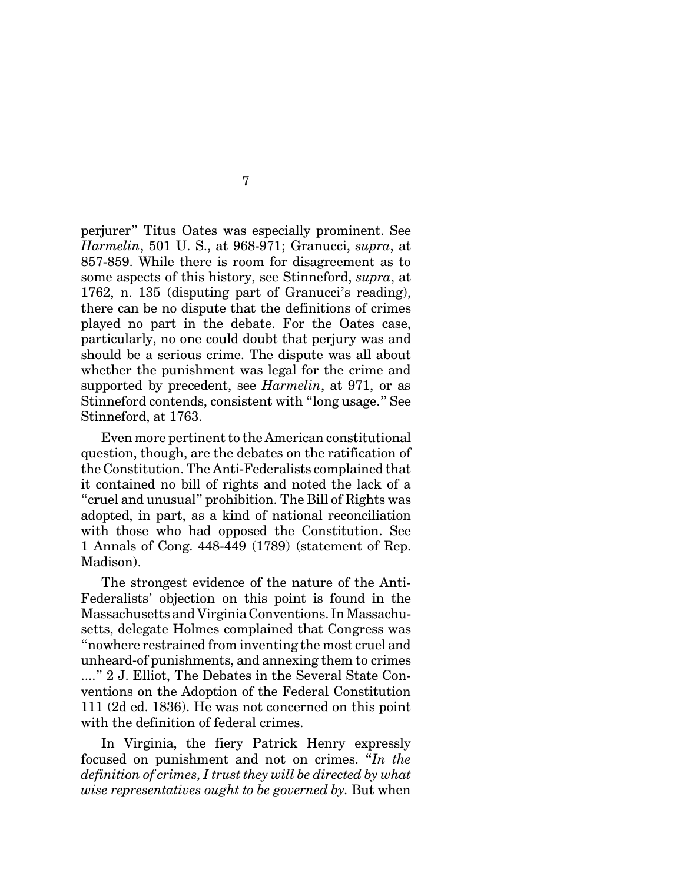perjurer" Titus Oates was especially prominent. See *Harmelin*, 501 U. S., at 968-971; Granucci, *supra*, at 857-859. While there is room for disagreement as to some aspects of this history, see Stinneford, *supra*, at 1762, n. 135 (disputing part of Granucci's reading), there can be no dispute that the definitions of crimes played no part in the debate. For the Oates case, particularly, no one could doubt that perjury was and should be a serious crime. The dispute was all about whether the punishment was legal for the crime and supported by precedent, see *Harmelin*, at 971, or as Stinneford contends, consistent with "long usage." See Stinneford, at 1763.

Even more pertinent to the American constitutional question, though, are the debates on the ratification of the Constitution. The Anti-Federalists complained that it contained no bill of rights and noted the lack of a "cruel and unusual" prohibition. The Bill of Rights was adopted, in part, as a kind of national reconciliation with those who had opposed the Constitution. See 1 Annals of Cong. 448-449 (1789) (statement of Rep. Madison).

The strongest evidence of the nature of the Anti-Federalists' objection on this point is found in the Massachusetts and Virginia Conventions. In Massachusetts, delegate Holmes complained that Congress was "nowhere restrained from inventing the most cruel and unheard-of punishments, and annexing them to crimes ...." 2 J. Elliot, The Debates in the Several State Conventions on the Adoption of the Federal Constitution 111 (2d ed. 1836). He was not concerned on this point with the definition of federal crimes.

In Virginia, the fiery Patrick Henry expressly focused on punishment and not on crimes. "*In the definition of crimes, I trust they will be directed by what wise representatives ought to be governed by.* But when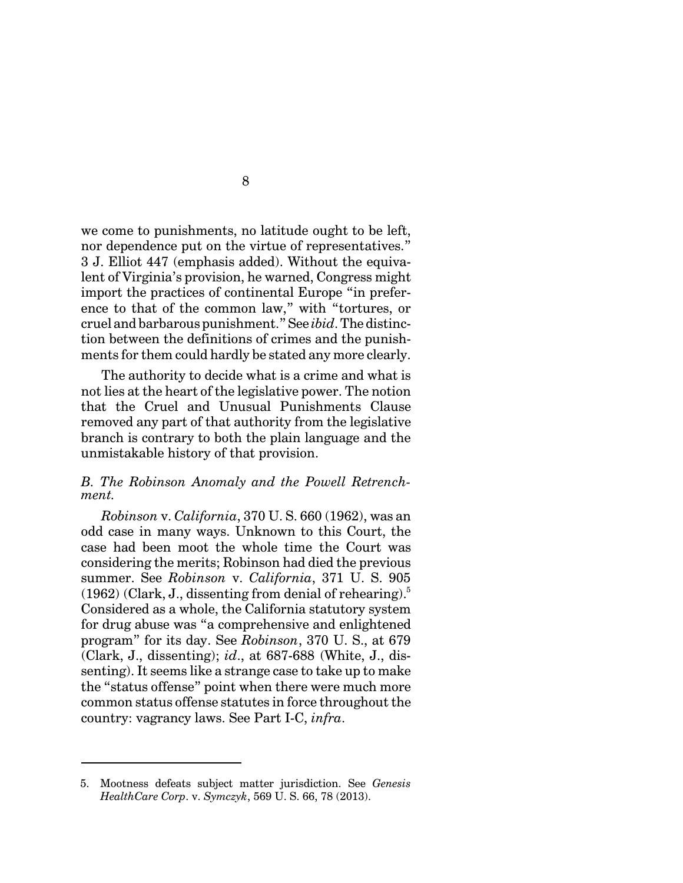we come to punishments, no latitude ought to be left, nor dependence put on the virtue of representatives." 3 J. Elliot 447 (emphasis added). Without the equivalent of Virginia's provision, he warned, Congress might import the practices of continental Europe "in preference to that of the common law," with "tortures, or cruel and barbarous punishment." See *ibid*. The distinction between the definitions of crimes and the punishments for them could hardly be stated any more clearly.

The authority to decide what is a crime and what is not lies at the heart of the legislative power. The notion that the Cruel and Unusual Punishments Clause removed any part of that authority from the legislative branch is contrary to both the plain language and the unmistakable history of that provision.

## *B. The Robinson Anomaly and the Powell Retrenchment.*

*Robinson* v. *California*, 370 U. S. 660 (1962), was an odd case in many ways. Unknown to this Court, the case had been moot the whole time the Court was considering the merits; Robinson had died the previous summer. See *Robinson* v. *California*, 371 U. S. 905  $(1962)$  (Clark, J., dissenting from denial of rehearing).<sup>5</sup> Considered as a whole, the California statutory system for drug abuse was "a comprehensive and enlightened program" for its day. See *Robinson*, 370 U. S., at 679 (Clark, J., dissenting); *id*., at 687-688 (White, J., dissenting). It seems like a strange case to take up to make the "status offense" point when there were much more common status offense statutes in force throughout the country: vagrancy laws. See Part I-C, *infra*.

<sup>5.</sup> Mootness defeats subject matter jurisdiction. See *Genesis HealthCare Corp*. v. *Symczyk*, 569 U. S. 66, 78 (2013).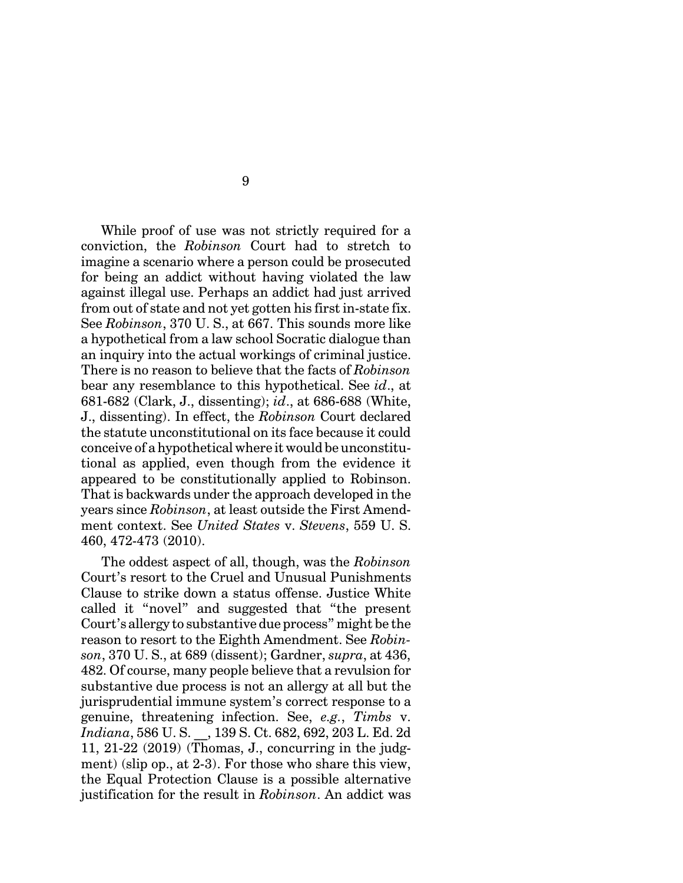While proof of use was not strictly required for a conviction, the *Robinson* Court had to stretch to imagine a scenario where a person could be prosecuted for being an addict without having violated the law against illegal use. Perhaps an addict had just arrived from out of state and not yet gotten his first in-state fix. See *Robinson*, 370 U. S., at 667. This sounds more like a hypothetical from a law school Socratic dialogue than an inquiry into the actual workings of criminal justice. There is no reason to believe that the facts of *Robinson* bear any resemblance to this hypothetical. See *id*., at 681-682 (Clark, J., dissenting); *id*., at 686-688 (White, J., dissenting). In effect, the *Robinson* Court declared the statute unconstitutional on its face because it could conceive of a hypothetical where it would be unconstitutional as applied, even though from the evidence it appeared to be constitutionally applied to Robinson. That is backwards under the approach developed in the years since *Robinson*, at least outside the First Amendment context. See *United States* v. *Stevens*, 559 U. S. 460, 472-473 (2010).

The oddest aspect of all, though, was the *Robinson* Court's resort to the Cruel and Unusual Punishments Clause to strike down a status offense. Justice White called it "novel" and suggested that "the present Court's allergy to substantive due process" might be the reason to resort to the Eighth Amendment. See *Robinson*, 370 U. S., at 689 (dissent); Gardner, *supra*, at 436, 482. Of course, many people believe that a revulsion for substantive due process is not an allergy at all but the jurisprudential immune system's correct response to a genuine, threatening infection. See, *e.g.*, *Timbs* v. *Indiana*, 586 U. S. \_\_, 139 S. Ct. 682, 692, 203 L. Ed. 2d 11, 21-22 (2019) (Thomas, J., concurring in the judgment) (slip op., at 2-3). For those who share this view, the Equal Protection Clause is a possible alternative justification for the result in *Robinson*. An addict was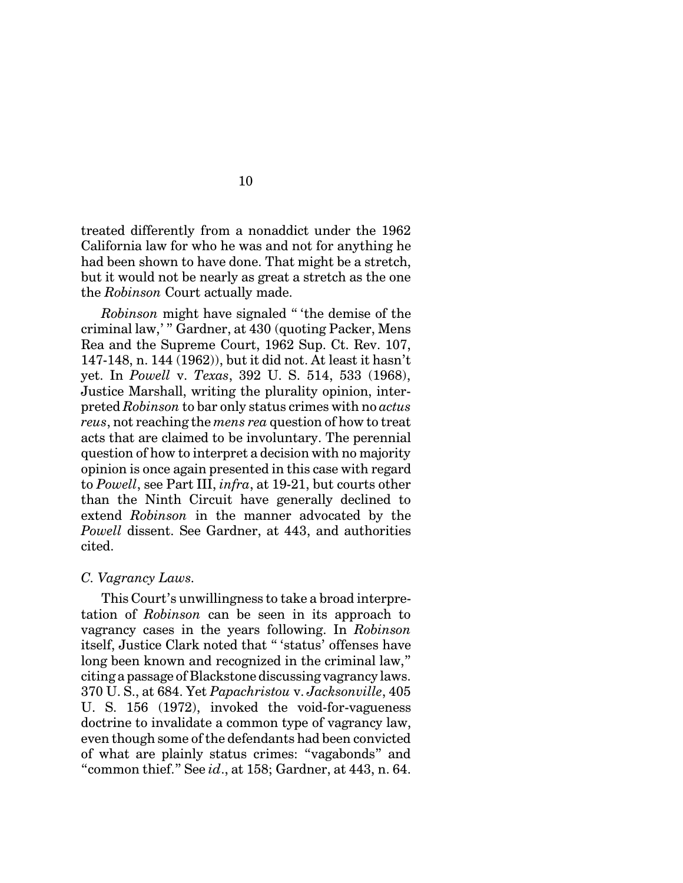treated differently from a nonaddict under the 1962 California law for who he was and not for anything he had been shown to have done. That might be a stretch, but it would not be nearly as great a stretch as the one the *Robinson* Court actually made.

*Robinson* might have signaled " 'the demise of the criminal law,' " Gardner, at 430 (quoting Packer, Mens Rea and the Supreme Court, 1962 Sup. Ct. Rev. 107, 147-148, n. 144 (1962)), but it did not. At least it hasn't yet. In *Powell* v. *Texas*, 392 U. S. 514, 533 (1968), Justice Marshall, writing the plurality opinion, interpreted *Robinson* to bar only status crimes with no *actus reus*, not reaching the *mens rea* question of how to treat acts that are claimed to be involuntary. The perennial question of how to interpret a decision with no majority opinion is once again presented in this case with regard to *Powell*, see Part III, *infra*, at 19-21, but courts other than the Ninth Circuit have generally declined to extend *Robinson* in the manner advocated by the *Powell* dissent. See Gardner, at 443, and authorities cited.

#### *C. Vagrancy Laws.*

This Court's unwillingness to take a broad interpretation of *Robinson* can be seen in its approach to vagrancy cases in the years following. In *Robinson* itself, Justice Clark noted that " 'status' offenses have long been known and recognized in the criminal law," citing a passage of Blackstone discussing vagrancy laws. 370 U. S., at 684. Yet *Papachristou* v. *Jacksonville*, 405 U. S. 156 (1972), invoked the void-for-vagueness doctrine to invalidate a common type of vagrancy law, even though some of the defendants had been convicted of what are plainly status crimes: "vagabonds" and "common thief." See *id*., at 158; Gardner, at 443, n. 64.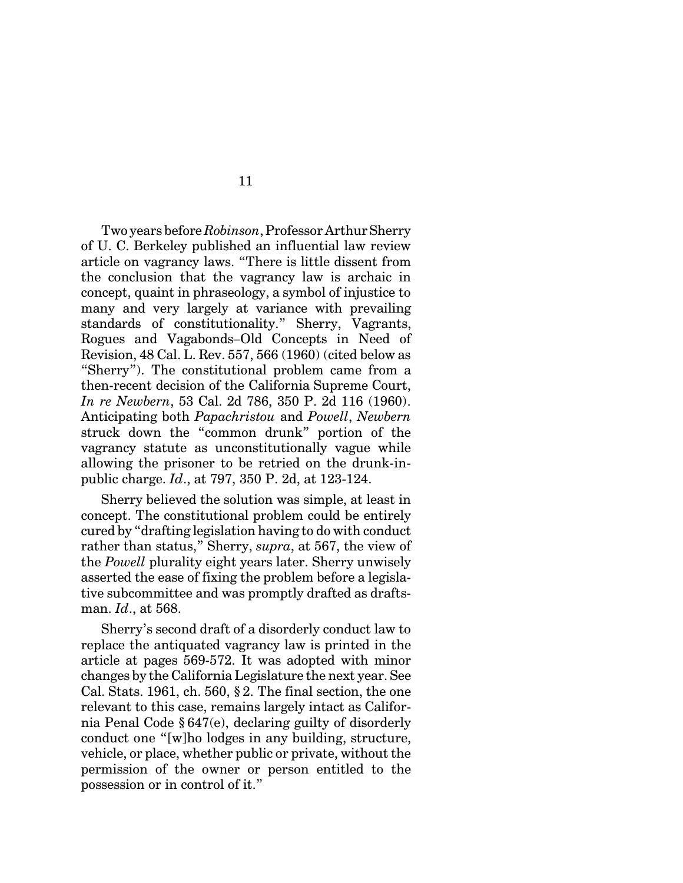Two years before *Robinson*, Professor Arthur Sherry of U. C. Berkeley published an influential law review article on vagrancy laws. "There is little dissent from the conclusion that the vagrancy law is archaic in concept, quaint in phraseology, a symbol of injustice to many and very largely at variance with prevailing standards of constitutionality." Sherry, Vagrants, Rogues and Vagabonds–Old Concepts in Need of Revision, 48 Cal. L. Rev. 557, 566 (1960) (cited below as "Sherry"). The constitutional problem came from a then-recent decision of the California Supreme Court, *In re Newbern*, 53 Cal. 2d 786, 350 P. 2d 116 (1960). Anticipating both *Papachristou* and *Powell*, *Newbern* struck down the "common drunk" portion of the vagrancy statute as unconstitutionally vague while allowing the prisoner to be retried on the drunk-inpublic charge. *Id*., at 797, 350 P. 2d, at 123-124.

Sherry believed the solution was simple, at least in concept. The constitutional problem could be entirely cured by "drafting legislation having to do with conduct rather than status," Sherry, *supra*, at 567, the view of the *Powell* plurality eight years later. Sherry unwisely asserted the ease of fixing the problem before a legislative subcommittee and was promptly drafted as draftsman. *Id*., at 568.

Sherry's second draft of a disorderly conduct law to replace the antiquated vagrancy law is printed in the article at pages 569-572. It was adopted with minor changes by the California Legislature the next year. See Cal. Stats. 1961, ch. 560, § 2. The final section, the one relevant to this case, remains largely intact as California Penal Code § 647(e), declaring guilty of disorderly conduct one "[w]ho lodges in any building, structure, vehicle, or place, whether public or private, without the permission of the owner or person entitled to the possession or in control of it."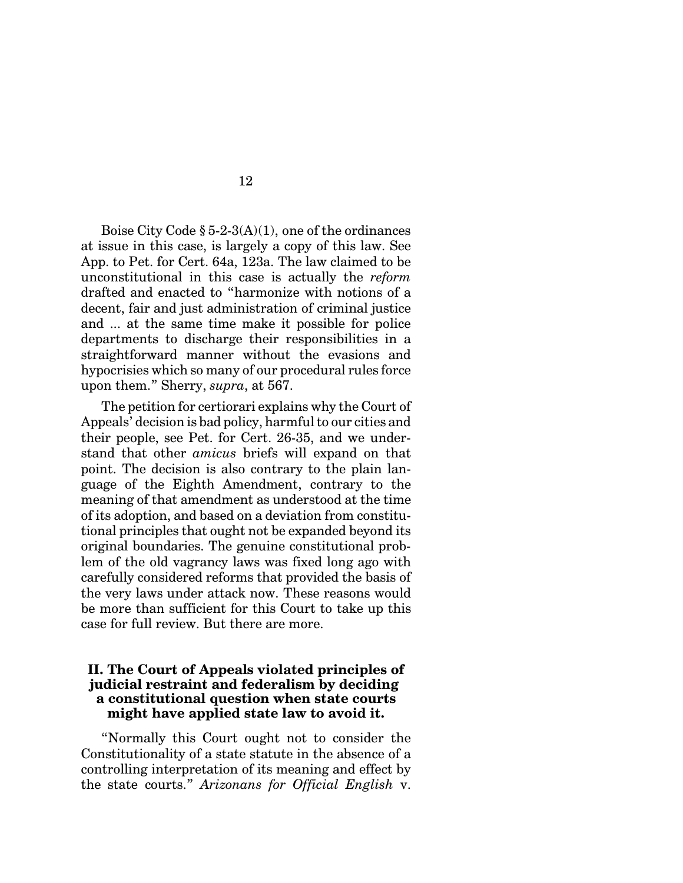Boise City Code  $\S 5-2-3(A)(1)$ , one of the ordinances at issue in this case, is largely a copy of this law. See App. to Pet. for Cert. 64a, 123a. The law claimed to be unconstitutional in this case is actually the *reform* drafted and enacted to "harmonize with notions of a decent, fair and just administration of criminal justice and ... at the same time make it possible for police departments to discharge their responsibilities in a straightforward manner without the evasions and hypocrisies which so many of our procedural rules force upon them." Sherry, *supra*, at 567.

The petition for certiorari explains why the Court of Appeals' decision is bad policy, harmful to our cities and their people, see Pet. for Cert. 26-35, and we understand that other *amicus* briefs will expand on that point. The decision is also contrary to the plain language of the Eighth Amendment, contrary to the meaning of that amendment as understood at the time of its adoption, and based on a deviation from constitutional principles that ought not be expanded beyond its original boundaries. The genuine constitutional problem of the old vagrancy laws was fixed long ago with carefully considered reforms that provided the basis of the very laws under attack now. These reasons would be more than sufficient for this Court to take up this case for full review. But there are more.

## **II. The Court of Appeals violated principles of judicial restraint and federalism by deciding a constitutional question when state courts might have applied state law to avoid it.**

"Normally this Court ought not to consider the Constitutionality of a state statute in the absence of a controlling interpretation of its meaning and effect by the state courts." *Arizonans for Official English* v.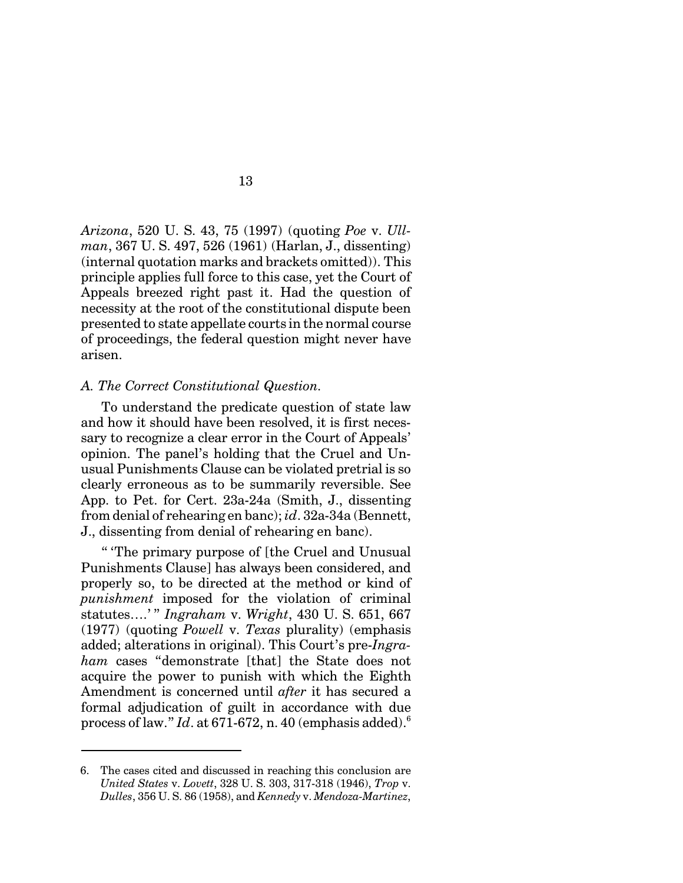*Arizona*, 520 U. S. 43, 75 (1997) (quoting *Poe* v. *Ullman*, 367 U. S. 497, 526 (1961) (Harlan, J., dissenting) (internal quotation marks and brackets omitted)). This principle applies full force to this case, yet the Court of Appeals breezed right past it. Had the question of necessity at the root of the constitutional dispute been presented to state appellate courts in the normal course of proceedings, the federal question might never have arisen.

#### *A. The Correct Constitutional Question.*

To understand the predicate question of state law and how it should have been resolved, it is first necessary to recognize a clear error in the Court of Appeals' opinion. The panel's holding that the Cruel and Unusual Punishments Clause can be violated pretrial is so clearly erroneous as to be summarily reversible. See App. to Pet. for Cert. 23a-24a (Smith, J., dissenting from denial of rehearing en banc); *id*. 32a-34a (Bennett, J., dissenting from denial of rehearing en banc).

" 'The primary purpose of [the Cruel and Unusual Punishments Clause] has always been considered, and properly so, to be directed at the method or kind of *punishment* imposed for the violation of criminal statutes….' " *Ingraham* v. *Wright*, 430 U. S. 651, 667 (1977) (quoting *Powell* v. *Texas* plurality) (emphasis added; alterations in original). This Court's pre-*Ingraham* cases "demonstrate [that] the State does not acquire the power to punish with which the Eighth Amendment is concerned until *after* it has secured a formal adjudication of guilt in accordance with due process of law."  $Id$ . at 671-672, n. 40 (emphasis added).<sup>6</sup>

<sup>6.</sup> The cases cited and discussed in reaching this conclusion are *United States* v. *Lovett*, 328 U. S. 303, 317-318 (1946), *Trop* v. *Dulles*, 356 U. S. 86 (1958), and *Kennedy* v. *Mendoza-Martinez*,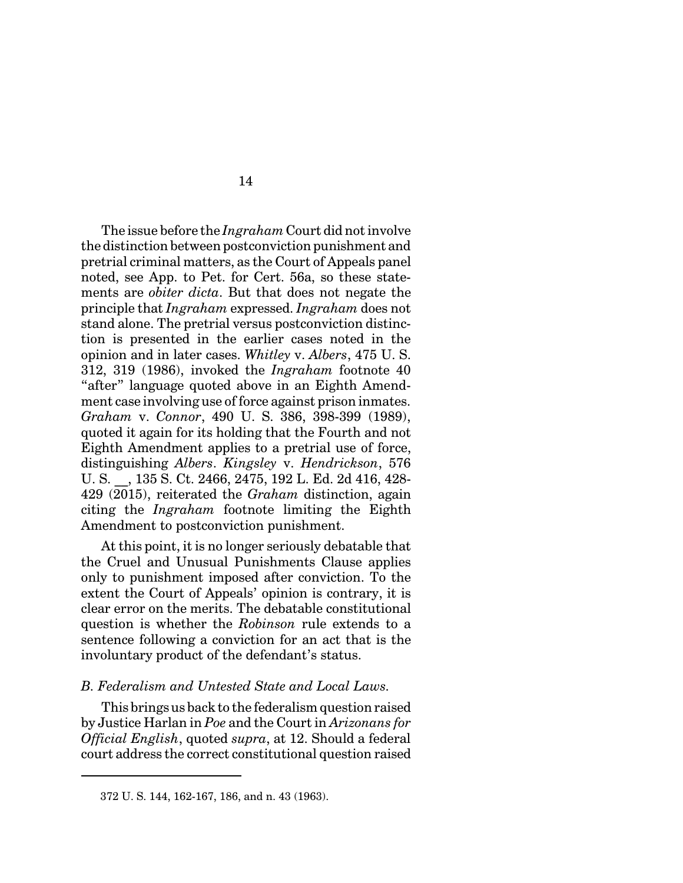The issue before the *Ingraham* Court did not involve the distinction between postconviction punishment and pretrial criminal matters, as the Court of Appeals panel noted, see App. to Pet. for Cert. 56a, so these statements are *obiter dicta*. But that does not negate the principle that *Ingraham* expressed. *Ingraham* does not stand alone. The pretrial versus postconviction distinction is presented in the earlier cases noted in the opinion and in later cases. *Whitley* v. *Albers*, 475 U. S. 312, 319 (1986), invoked the *Ingraham* footnote 40 "after" language quoted above in an Eighth Amendment case involving use of force against prison inmates. *Graham* v. *Connor*, 490 U. S. 386, 398-399 (1989), quoted it again for its holding that the Fourth and not Eighth Amendment applies to a pretrial use of force, distinguishing *Albers*. *Kingsley* v. *Hendrickson*, 576 U. S. \_\_, 135 S. Ct. 2466, 2475, 192 L. Ed. 2d 416, 428- 429 (2015), reiterated the *Graham* distinction, again citing the *Ingraham* footnote limiting the Eighth Amendment to postconviction punishment.

At this point, it is no longer seriously debatable that the Cruel and Unusual Punishments Clause applies only to punishment imposed after conviction. To the extent the Court of Appeals' opinion is contrary, it is clear error on the merits. The debatable constitutional question is whether the *Robinson* rule extends to a sentence following a conviction for an act that is the involuntary product of the defendant's status.

## *B. Federalism and Untested State and Local Laws.*

This brings us back to the federalism question raised by Justice Harlan in *Poe* and the Court in *Arizonans for Official English*, quoted *supra*, at 12. Should a federal court address the correct constitutional question raised

<sup>372</sup> U. S. 144, 162-167, 186, and n. 43 (1963).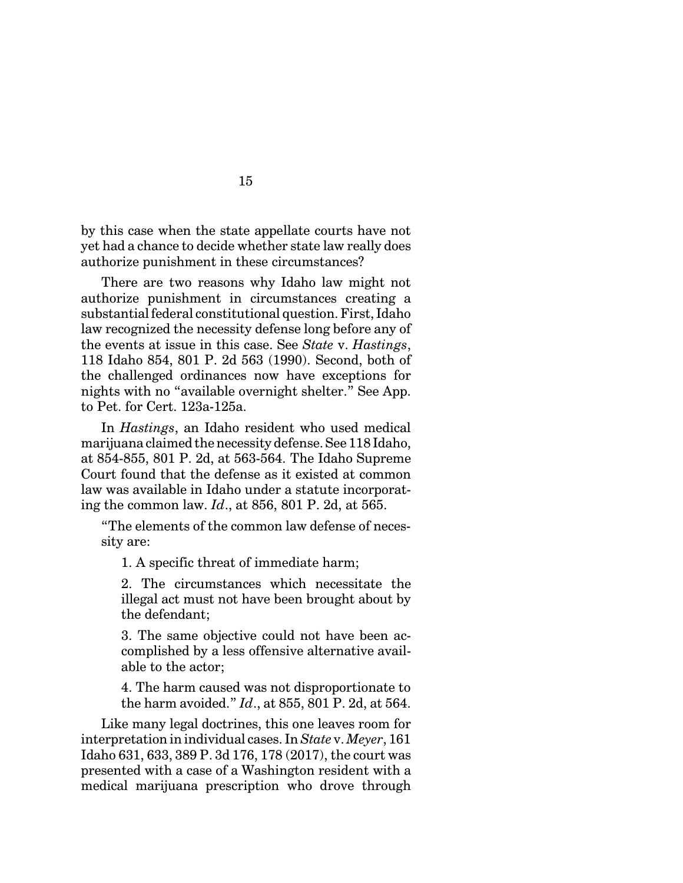by this case when the state appellate courts have not yet had a chance to decide whether state law really does authorize punishment in these circumstances?

15

There are two reasons why Idaho law might not authorize punishment in circumstances creating a substantial federal constitutional question. First, Idaho law recognized the necessity defense long before any of the events at issue in this case. See *State* v. *Hastings*, 118 Idaho 854, 801 P. 2d 563 (1990). Second, both of the challenged ordinances now have exceptions for nights with no "available overnight shelter." See App. to Pet. for Cert. 123a-125a.

In *Hastings*, an Idaho resident who used medical marijuana claimed the necessity defense. See 118 Idaho, at 854-855, 801 P. 2d, at 563-564. The Idaho Supreme Court found that the defense as it existed at common law was available in Idaho under a statute incorporating the common law. *Id*., at 856, 801 P. 2d, at 565.

"The elements of the common law defense of necessity are:

1. A specific threat of immediate harm;

2. The circumstances which necessitate the illegal act must not have been brought about by the defendant;

3. The same objective could not have been accomplished by a less offensive alternative available to the actor;

4. The harm caused was not disproportionate to the harm avoided." *Id*., at 855, 801 P. 2d, at 564.

Like many legal doctrines, this one leaves room for interpretation in individual cases. In *State* v. *Meyer*, 161 Idaho 631, 633, 389 P. 3d 176, 178 (2017), the court was presented with a case of a Washington resident with a medical marijuana prescription who drove through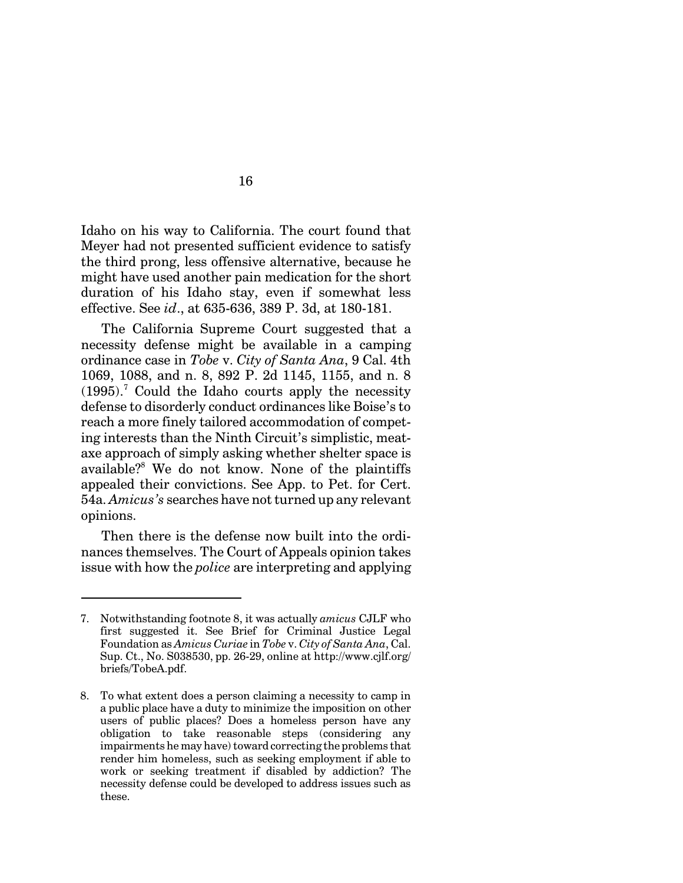Idaho on his way to California. The court found that Meyer had not presented sufficient evidence to satisfy the third prong, less offensive alternative, because he might have used another pain medication for the short duration of his Idaho stay, even if somewhat less effective. See *id*., at 635-636, 389 P. 3d, at 180-181.

The California Supreme Court suggested that a necessity defense might be available in a camping ordinance case in *Tobe* v. *City of Santa Ana*, 9 Cal. 4th 1069, 1088, and n. 8, 892 P. 2d 1145, 1155, and n. 8  $(1995).$ <sup>7</sup> Could the Idaho courts apply the necessity defense to disorderly conduct ordinances like Boise's to reach a more finely tailored accommodation of competing interests than the Ninth Circuit's simplistic, meataxe approach of simply asking whether shelter space is available?<sup>8</sup> We do not know. None of the plaintiffs appealed their convictions. See App. to Pet. for Cert. 54a. *Amicus's* searches have not turned up any relevant opinions.

Then there is the defense now built into the ordinances themselves. The Court of Appeals opinion takes issue with how the *police* are interpreting and applying

<sup>7.</sup> Notwithstanding footnote 8, it was actually *amicus* CJLF who first suggested it. See Brief for Criminal Justice Legal Foundation as *Amicus Curiae* in *Tobe* v. *City of Santa Ana*, Cal. Sup. Ct., No. S038530, pp. 26-29, online at http://www.cjlf.org/ briefs/TobeA.pdf.

<sup>8.</sup> To what extent does a person claiming a necessity to camp in a public place have a duty to minimize the imposition on other users of public places? Does a homeless person have any obligation to take reasonable steps (considering any impairments he may have) toward correcting the problems that render him homeless, such as seeking employment if able to work or seeking treatment if disabled by addiction? The necessity defense could be developed to address issues such as these.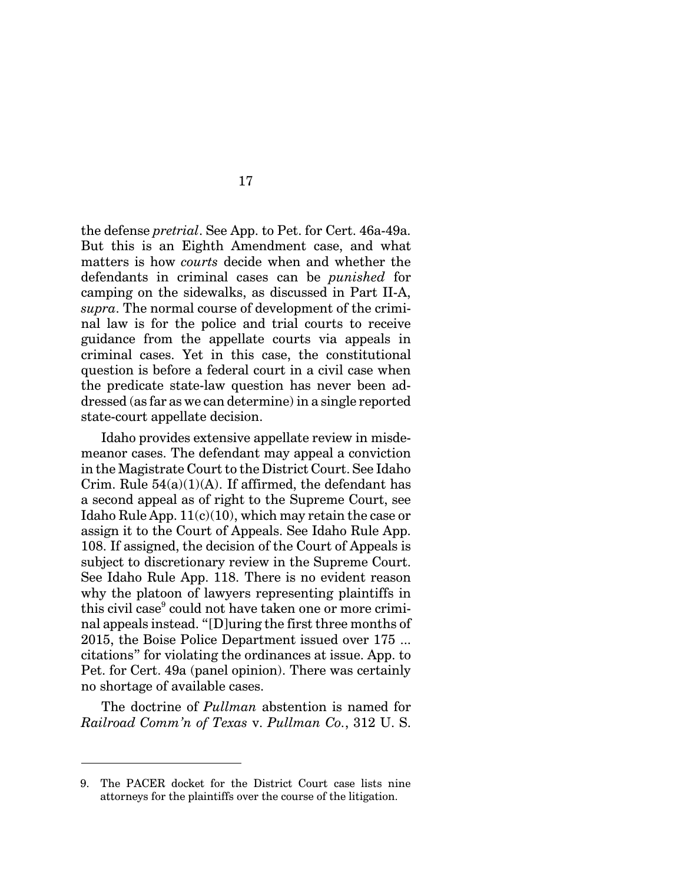the defense *pretrial*. See App. to Pet. for Cert. 46a-49a. But this is an Eighth Amendment case, and what matters is how *courts* decide when and whether the defendants in criminal cases can be *punished* for camping on the sidewalks, as discussed in Part II-A, *supra*. The normal course of development of the criminal law is for the police and trial courts to receive guidance from the appellate courts via appeals in criminal cases. Yet in this case, the constitutional question is before a federal court in a civil case when the predicate state-law question has never been addressed (as far as we can determine) in a single reported state-court appellate decision.

Idaho provides extensive appellate review in misdemeanor cases. The defendant may appeal a conviction in the Magistrate Court to the District Court. See Idaho Crim. Rule  $54(a)(1)(A)$ . If affirmed, the defendant has a second appeal as of right to the Supreme Court, see Idaho Rule App.  $11(c)(10)$ , which may retain the case or assign it to the Court of Appeals. See Idaho Rule App. 108. If assigned, the decision of the Court of Appeals is subject to discretionary review in the Supreme Court. See Idaho Rule App. 118. There is no evident reason why the platoon of lawyers representing plaintiffs in this civil case<sup>9</sup> could not have taken one or more criminal appeals instead. "[D]uring the first three months of 2015, the Boise Police Department issued over 175 ... citations" for violating the ordinances at issue. App. to Pet. for Cert. 49a (panel opinion). There was certainly no shortage of available cases.

The doctrine of *Pullman* abstention is named for *Railroad Comm'n of Texas* v. *Pullman Co.*, 312 U. S.

<sup>9.</sup> The PACER docket for the District Court case lists nine attorneys for the plaintiffs over the course of the litigation.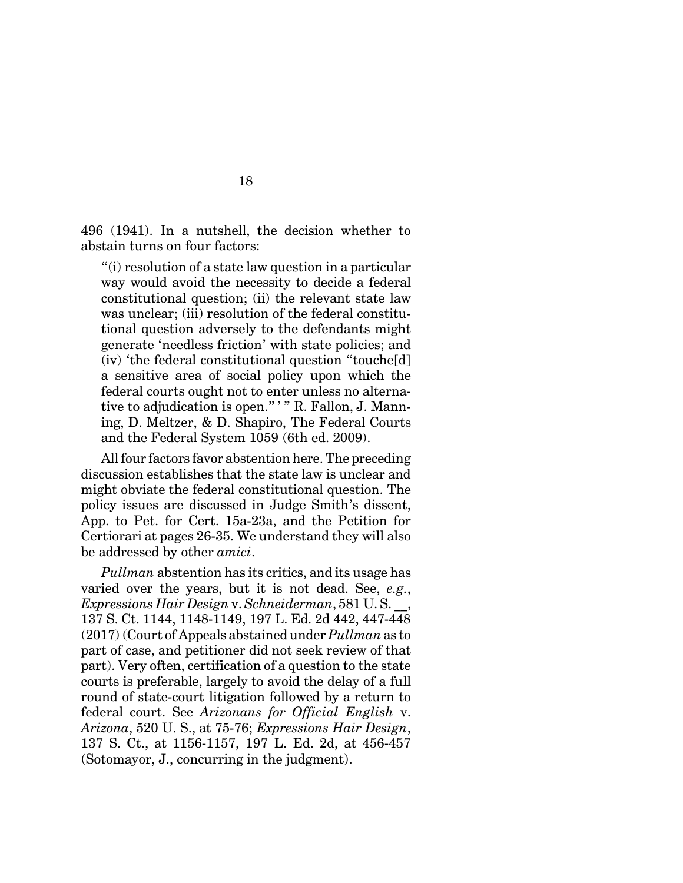496 (1941). In a nutshell, the decision whether to abstain turns on four factors:

"(i) resolution of a state law question in a particular way would avoid the necessity to decide a federal constitutional question; (ii) the relevant state law was unclear; (iii) resolution of the federal constitutional question adversely to the defendants might generate 'needless friction' with state policies; and (iv) 'the federal constitutional question "touche[d] a sensitive area of social policy upon which the federal courts ought not to enter unless no alternative to adjudication is open." ' " R. Fallon, J. Manning, D. Meltzer, & D. Shapiro, The Federal Courts and the Federal System 1059 (6th ed. 2009).

All four factors favor abstention here. The preceding discussion establishes that the state law is unclear and might obviate the federal constitutional question. The policy issues are discussed in Judge Smith's dissent, App. to Pet. for Cert. 15a-23a, and the Petition for Certiorari at pages 26-35. We understand they will also be addressed by other *amici*.

*Pullman* abstention has its critics, and its usage has varied over the years, but it is not dead. See, *e.g.*, *Expressions Hair Design* v. *Schneiderman*, 581 U. S. \_\_, 137 S. Ct. 1144, 1148-1149, 197 L. Ed. 2d 442, 447-448 (2017) (Court of Appeals abstained under *Pullman* as to part of case, and petitioner did not seek review of that part). Very often, certification of a question to the state courts is preferable, largely to avoid the delay of a full round of state-court litigation followed by a return to federal court. See *Arizonans for Official English* v. *Arizona*, 520 U. S., at 75-76; *Expressions Hair Design*, 137 S. Ct., at 1156-1157, 197 L. Ed. 2d, at 456-457 (Sotomayor, J., concurring in the judgment).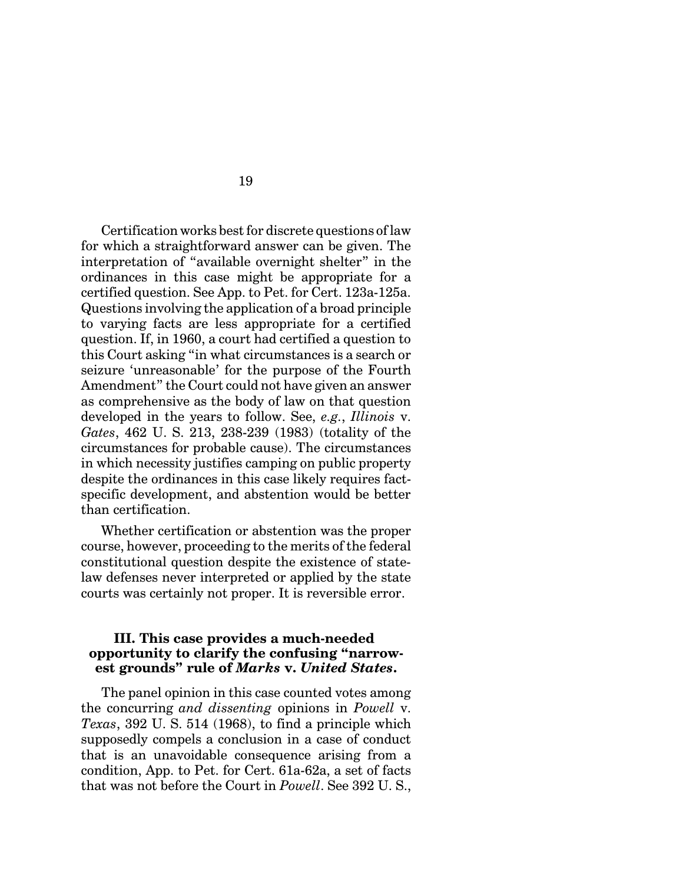Certification works best for discrete questions of law for which a straightforward answer can be given. The interpretation of "available overnight shelter" in the ordinances in this case might be appropriate for a certified question. See App. to Pet. for Cert. 123a-125a. Questions involving the application of a broad principle to varying facts are less appropriate for a certified question. If, in 1960, a court had certified a question to this Court asking "in what circumstances is a search or seizure 'unreasonable' for the purpose of the Fourth Amendment" the Court could not have given an answer as comprehensive as the body of law on that question developed in the years to follow. See, *e.g.*, *Illinois* v. *Gates*, 462 U. S. 213, 238-239 (1983) (totality of the circumstances for probable cause). The circumstances in which necessity justifies camping on public property despite the ordinances in this case likely requires factspecific development, and abstention would be better than certification.

Whether certification or abstention was the proper course, however, proceeding to the merits of the federal constitutional question despite the existence of statelaw defenses never interpreted or applied by the state courts was certainly not proper. It is reversible error.

### **III. This case provides a much-needed opportunity to clarify the confusing "narrowest grounds" rule of** *Marks* **v.** *United States***.**

The panel opinion in this case counted votes among the concurring *and dissenting* opinions in *Powell* v. *Texas*, 392 U. S. 514 (1968), to find a principle which supposedly compels a conclusion in a case of conduct that is an unavoidable consequence arising from a condition, App. to Pet. for Cert. 61a-62a, a set of facts that was not before the Court in *Powell*. See 392 U. S.,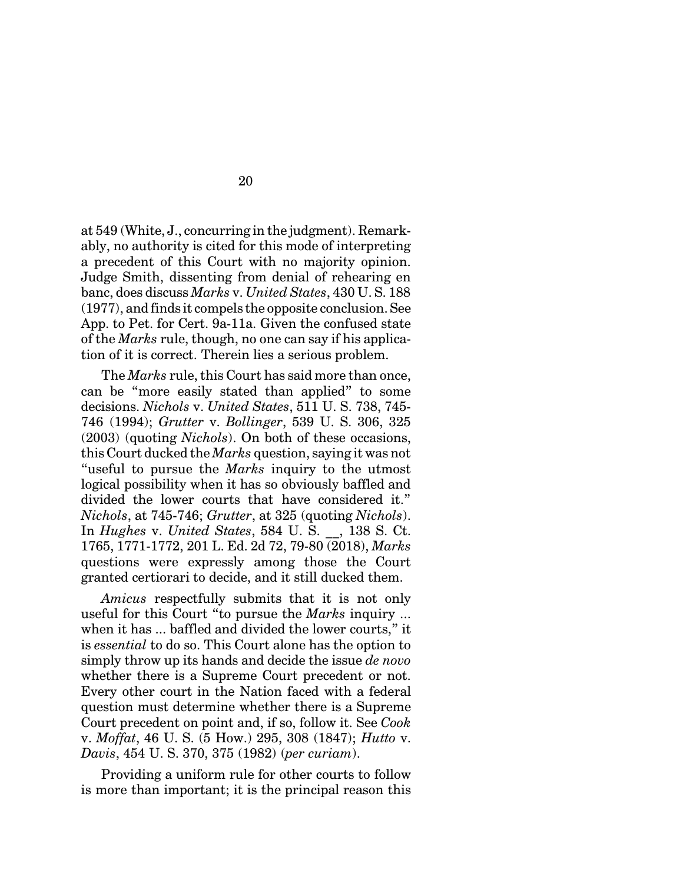at 549 (White, J., concurring in the judgment). Remarkably, no authority is cited for this mode of interpreting a precedent of this Court with no majority opinion. Judge Smith, dissenting from denial of rehearing en banc, does discuss *Marks* v. *United States*, 430 U. S. 188 (1977), and finds it compels the opposite conclusion. See App. to Pet. for Cert. 9a-11a. Given the confused state of the *Marks* rule, though, no one can say if his application of it is correct. Therein lies a serious problem.

The *Marks* rule, this Court has said more than once, can be "more easily stated than applied" to some decisions. *Nichols* v. *United States*, 511 U. S. 738, 745- 746 (1994); *Grutter* v. *Bollinger*, 539 U. S. 306, 325 (2003) (quoting *Nichols*). On both of these occasions, this Court ducked the *Marks* question, saying it was not "useful to pursue the *Marks* inquiry to the utmost logical possibility when it has so obviously baffled and divided the lower courts that have considered it." *Nichols*, at 745-746; *Grutter*, at 325 (quoting *Nichols*). In *Hughes* v. *United States*, 584 U. S. \_\_, 138 S. Ct. 1765, 1771-1772, 201 L. Ed. 2d 72, 79-80 (2018), *Marks* questions were expressly among those the Court granted certiorari to decide, and it still ducked them.

*Amicus* respectfully submits that it is not only useful for this Court "to pursue the *Marks* inquiry ... when it has ... baffled and divided the lower courts," it is *essential* to do so. This Court alone has the option to simply throw up its hands and decide the issue *de novo* whether there is a Supreme Court precedent or not. Every other court in the Nation faced with a federal question must determine whether there is a Supreme Court precedent on point and, if so, follow it. See *Cook* v. *Moffat*, 46 U. S. (5 How.) 295, 308 (1847); *Hutto* v. *Davis*, 454 U. S. 370, 375 (1982) (*per curiam*).

Providing a uniform rule for other courts to follow is more than important; it is the principal reason this

20